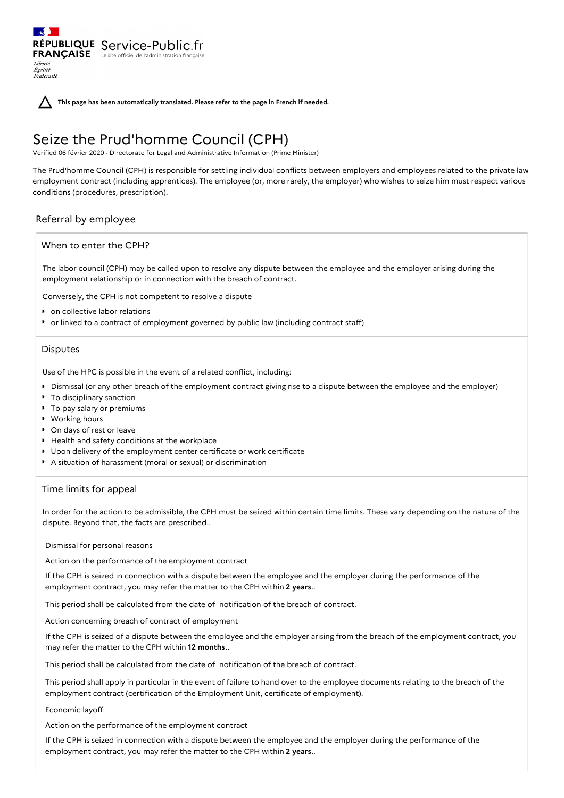RÉPUBLIQUE Service-Public.fr **FRANÇAISE** Le site officiel de l'administration fran Liberté Égalité<br>Fraternité



**This page has been automatically translated. Please refer to the page in French if needed.**

# Seize the Prud'homme Council (CPH)

Verified 06 février 2020 - Directorate for Legal and Administrative Information (Prime Minister)

The Prud'homme Council (CPH) is responsible for settling individual conflicts between employers and employees related to the private law employment contract (including apprentices). The employee (or, more rarely, the employer) who wishes to seize him must respect various conditions (procedures, prescription).

# Referral by employee

# When to enter the CPH?

The labor council (CPH) may be called upon to resolve any dispute between the employee and the employer arising during the employment relationship or in connection with the breach of contract.

Conversely, the CPH is not competent to resolve a dispute

- **•** on collective labor relations
- or linked to a contract of employment governed by public law (including contract staff)

## **Disputes**

Use of the HPC is possible in the event of a related conflict, including:

- Dismissal (or any other breach of the employment contract giving rise to a dispute between the employee and the employer)
- **To disciplinary sanction**
- **To pay salary or premiums**
- Working hours
- **D** On days of rest or leave
- Health and safety conditions at the workplace
- Upon delivery of the employment center certificate or work certificate
- A situation of harassment (moral or sexual) or discrimination

# Time limits for appeal

In order for the action to be admissible, the CPH must be seized within certain time limits. These vary depending on the nature of the dispute. Beyond that, the facts are prescribed..

Dismissal for personal reasons

Action on the performance of the employment contract

If the CPH is seized in connection with a dispute between the employee and the employer during the performance of the employment contract, you may refer the matter to the CPH within **2 years**..

This period shall be calculated from the date of notification of the breach of contract.

Action concerning breach of contract of employment

If the CPH is seized of a dispute between the employee and the employer arising from the breach of the employment contract, you may refer the matter to the CPH within **12 months**..

This period shall be calculated from the date of notification of the breach of contract.

This period shall apply in particular in the event of failure to hand over to the employee documents relating to the breach of the employment contract (certification of the Employment Unit, certificate of employment).

## Economic layoff

Action on the performance of the employment contract

If the CPH is seized in connection with a dispute between the employee and the employer during the performance of the employment contract, you may refer the matter to the CPH within **2 years**..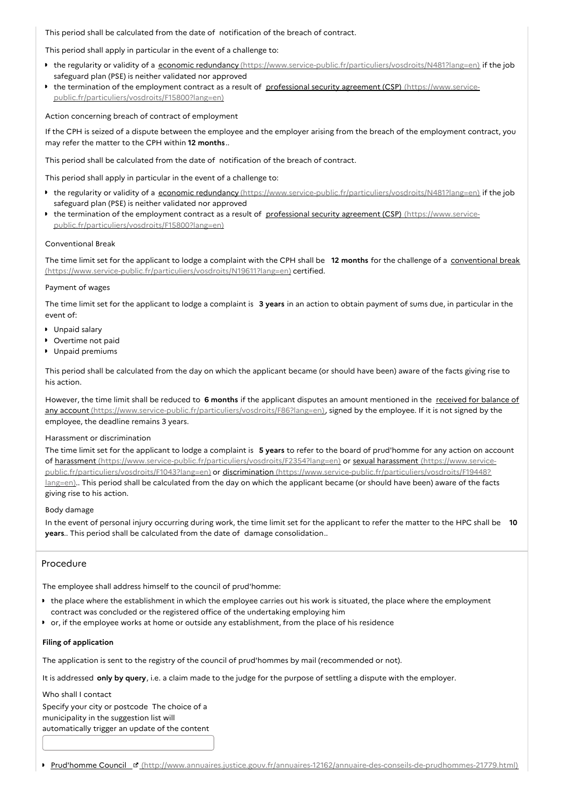This period shall be calculated from the date of notification of the breach of contract.

This period shall apply in particular in the event of a challenge to:

- the regularity or validity of a economic redundancy [\(https://www.service-public.fr/particuliers/vosdroits/N481?lang=en\)](https://www.service-public.fr/particuliers/vosdroits/N481?lang=en) if the job safeguard plan (PSE) is neither validated nor approved
- the termination of the employment contract as a result of professional security agreement (CSP) (https://www.service[public.fr/particuliers/vosdroits/F15800?lang=en\)](https://www.service-public.fr/particuliers/vosdroits/F15800?lang=en)

Action concerning breach of contract of employment

If the CPH is seized of a dispute between the employee and the employer arising from the breach of the employment contract, you may refer the matter to the CPH within **12 months**..

This period shall be calculated from the date of notification of the breach of contract.

This period shall apply in particular in the event of a challenge to:

- the regularity or validity of a economic redundancy [\(https://www.service-public.fr/particuliers/vosdroits/N481?lang=en\)](https://www.service-public.fr/particuliers/vosdroits/N481?lang=en) if the job safeguard plan (PSE) is neither validated nor approved
- the termination of the employment contract as a result of professional security agreement (CSP) (https://www.service[public.fr/particuliers/vosdroits/F15800?lang=en\)](https://www.service-public.fr/particuliers/vosdroits/F15800?lang=en)

## Conventional Break

The time limit set for the applicant to lodge a complaint with the CPH shall be **12 months** for the challenge of a conventional break [\(https://www.service-public.fr/particuliers/vosdroits/N19611?lang=en\)](https://www.service-public.fr/particuliers/vosdroits/N19611?lang=en) certified.

# Payment of wages

The time limit set for the applicant to lodge a complaint is **3 years** in an action to obtain payment of sums due, in particular in the event of:

- **Unpaid salary**
- **D** Overtime not paid
- **Unpaid premiums**

This period shall be calculated from the day on which the applicant became (or should have been) aware of the facts giving rise to his action.

However, the time limit shall be reduced to **6 months** if the applicant disputes an amount mentioned in the received for balance of any account [\(https://www.service-public.fr/particuliers/vosdroits/F86?lang=en\),](https://www.service-public.fr/particuliers/vosdroits/F86?lang=en) signed by the employee. If it is not signed by the employee, the deadline remains 3 years.

### Harassment or discrimination

The time limit set for the applicant to lodge a complaint is **5 years** to refer to the board of prud'homme for any action on account of harassment [\(https://www.service-public.fr/particuliers/vosdroits/F2354?lang=en](https://www.service-public.fr/particuliers/vosdroits/F2354?lang=en)[\)](https://www.service-public.fr/particuliers/vosdroits/F1043?lang=en) or sexual harassment (https://www.servicepublic.fr/particuliers/vosdroits/F1043?lang=en) or discrimination [\(https://www.service-public.fr/particuliers/vosdroits/F19448?](https://www.service-public.fr/particuliers/vosdroits/F19448?lang=en) lang=en).. This period shall be calculated from the day on which the applicant became (or should have been) aware of the facts giving rise to his action.

### Body damage

In the event of personal injury occurring during work, the time limit set for the applicant to refer the matter to the HPC shall be **10 years**.. This period shall be calculated from the date of damage consolidation..

# Procedure

The employee shall address himself to the council of prud'homme:

- the place where the establishment in which the employee carries out his work is situated, the place where the employment contract was concluded or the registered office of the undertaking employing him
- or, if the employee works at home or outside any establishment, from the place of his residence

# **Filing of application**

The application is sent to the registry of the council of prud'hommes by mail (recommended or not).

It is addressed **only by query**, i.e. a claim made to the judge for the purpose of settling a dispute with the employer.

Who shall I contact

Specify your city or postcode The choice of a municipality in the suggestion list will automatically trigger an update of the content

Prud'homme Council **F** [\(http://www.annuaires.justice.gouv.fr/annuaires-12162/annuaire-des-conseils-de-prudhommes-21779.html\)](http://www.annuaires.justice.gouv.fr/annuaires-12162/annuaire-des-conseils-de-prudhommes-21779.html)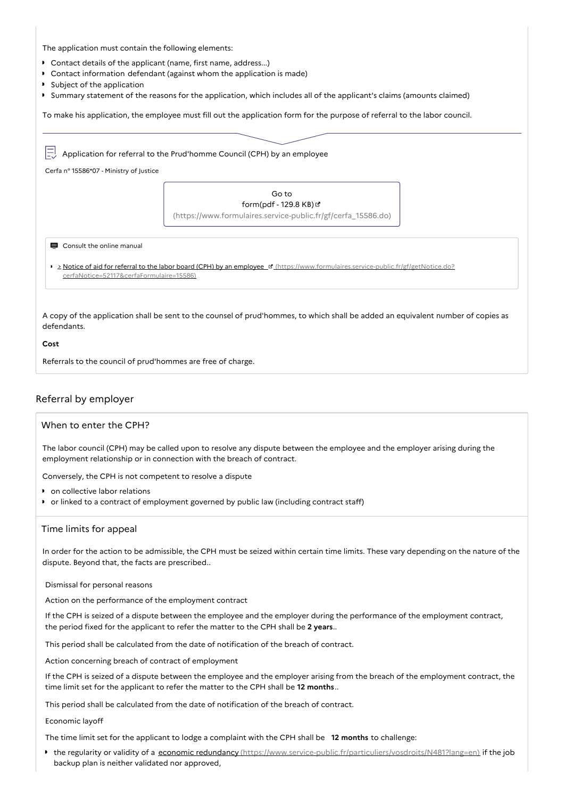The application must contain the following elements:

- Contact details of the applicant (name, first name, address...)
- Contact information defendant (against whom the application is made)
- **Subject of the application**
- Summary statement of the reasons for the application, which includes all of the applicant's claims (amounts claimed)

To make his application, the employee must fill out the application form for the purpose of referral to the labor council.

 $\boxed{\square}$  Application for referral to the Prud'homme Council (CPH) by an employee Cerfa n° 15586\*07 - Ministry of Justice Go to form(pdf - 129.8 KB) [\(https://www.formulaires.service-public.fr/gf/cerfa\\_15586.do\)](https://www.formulaires.service-public.fr/gf/cerfa_15586.do) Consult the online manual

- 
- > Notice of aid for referral to the labor board (CPH) by an employee **I** [\(https://www.formulaires.service-public.fr/gf/getNotice.do?](https://www.formulaires.service-public.fr/gf/getNotice.do?cerfaNotice=52117&cerfaFormulaire=15586) cerfaNotice=52117&cerfaFormulaire=15586)

A copy of the application shall be sent to the counsel of prud'hommes, to which shall be added an equivalent number of copies as defendants.

#### **Cost**

Referrals to the council of prud'hommes are free of charge.

# Referral by employer

# When to enter the CPH?

The labor council (CPH) may be called upon to resolve any dispute between the employee and the employer arising during the employment relationship or in connection with the breach of contract.

Conversely, the CPH is not competent to resolve a dispute

- on collective labor relations
- or linked to a contract of employment governed by public law (including contract staff)

### Time limits for appeal

In order for the action to be admissible, the CPH must be seized within certain time limits. These vary depending on the nature of the dispute. Beyond that, the facts are prescribed..

Dismissal for personal reasons

Action on the performance of the employment contract

If the CPH is seized of a dispute between the employee and the employer during the performance of the employment contract, the period fixed for the applicant to refer the matter to the CPH shall be **2 years**..

This period shall be calculated from the date of notification of the breach of contract.

Action concerning breach of contract of employment

If the CPH is seized of a dispute between the employee and the employer arising from the breach of the employment contract, the time limit set for the applicant to refer the matter to the CPH shall be **12 months**..

This period shall be calculated from the date of notification of the breach of contract.

Economic layoff

The time limit set for the applicant to lodge a complaint with the CPH shall be **12 months** to challenge:

■ the regularity or validity of a economic redundancy [\(https://www.service-public.fr/particuliers/vosdroits/N481?lang=en\)](https://www.service-public.fr/particuliers/vosdroits/N481?lang=en) if the job backup plan is neither validated nor approved,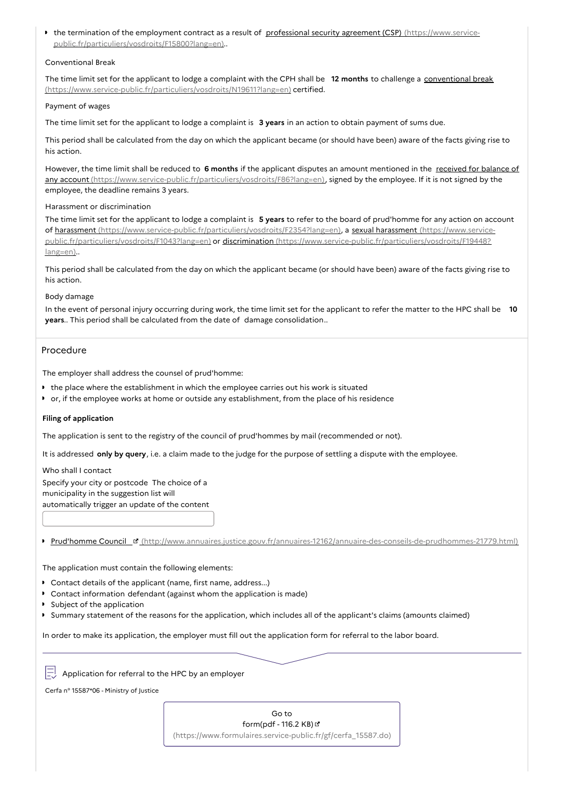the termination of the employment contract as a result of professional security agreement (CSP) (https://www.service[public.fr/particuliers/vosdroits/F15800?lang=en\)..](https://www.service-public.fr/particuliers/vosdroits/F15800?lang=en)

# Conventional Break

The time limit set for the applicant to lodge a complaint with the CPH shall be **12 months** to challenge a conventional break [\(https://www.service-public.fr/particuliers/vosdroits/N19611?lang=en\)](https://www.service-public.fr/particuliers/vosdroits/N19611?lang=en) certified.

### Payment of wages

The time limit set for the applicant to lodge a complaint is **3 years** in an action to obtain payment of sums due.

This period shall be calculated from the day on which the applicant became (or should have been) aware of the facts giving rise to his action.

However, the time limit shall be reduced to **6 months** if the applicant disputes an amount mentioned in the received for balance of any account [\(https://www.service-public.fr/particuliers/vosdroits/F86?lang=en\),](https://www.service-public.fr/particuliers/vosdroits/F86?lang=en) signed by the employee. If it is not signed by the employee, the deadline remains 3 years.

## Harassment or discrimination

The time limit set for the applicant to lodge a complaint is **5 years** to refer to the board of prud'homme for any action on account of harassment [\(https://www.service-public.fr/particuliers/vosdroits/F2354?lang=en](https://www.service-public.fr/particuliers/vosdroits/F2354?lang=en)[\),](https://www.service-public.fr/particuliers/vosdroits/F1043?lang=en) a sexual harassment (https://www.servicepublic.fr/particuliers/vosdroits/F1043?lang=en) or discrimination [\(https://www.service-public.fr/particuliers/vosdroits/F19448?](https://www.service-public.fr/particuliers/vosdroits/F19448?lang=en) lang=en)..

This period shall be calculated from the day on which the applicant became (or should have been) aware of the facts giving rise to his action.

# Body damage

In the event of personal injury occurring during work, the time limit set for the applicant to refer the matter to the HPC shall be **10 years**.. This period shall be calculated from the date of damage consolidation..

# Procedure

The employer shall address the counsel of prud'homme:

- the place where the establishment in which the employee carries out his work is situated
- or, if the employee works at home or outside any establishment, from the place of his residence

### **Filing of application**

The application is sent to the registry of the council of prud'hommes by mail (recommended or not).

It is addressed **only by query**, i.e. a claim made to the judge for the purpose of settling a dispute with the employee.

Who shall I contact Specify your city or postcode The choice of a municipality in the suggestion list will automatically trigger an update of the content

Prud'homme Council <sup>B</sup> [\(http://www.annuaires.justice.gouv.fr/annuaires-12162/annuaire-des-conseils-de-prudhommes-21779.html\)](http://www.annuaires.justice.gouv.fr/annuaires-12162/annuaire-des-conseils-de-prudhommes-21779.html)

The application must contain the following elements:

- Contact details of the applicant (name, first name, address...)
- Contact information defendant (against whom the application is made)
- **Subject of the application**
- Summary statement of the reasons for the application, which includes all of the applicant's claims (amounts claimed)

In order to make its application, the employer must fill out the application form for referral to the labor board.

 $\equiv$  Application for referral to the HPC by an employer

Cerfa n° 15587\*06 - Ministry of Justice

Go to form(pdf - 116.2 KB) & [\(https://www.formulaires.service-public.fr/gf/cerfa\\_15587.do\)](https://www.formulaires.service-public.fr/gf/cerfa_15587.do)